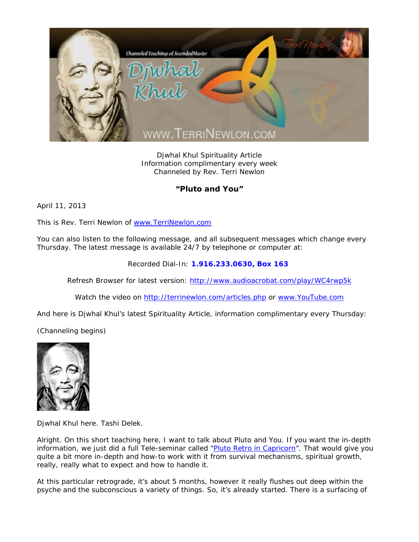

Djwhal Khul Spirituality Article Information complimentary every week Channeled by Rev. Terri Newlon

## **"Pluto and You"**

April 11, 2013

This is Rev. Terri Newlon of www.TerriNewlon.com

You can also listen to the following message, and all subsequent messages which change every Thursday. The latest message is available 24/7 by telephone or computer at:

Recorded Dial-In: **1.916.233.0630, Box 163** 

Refresh Browser for latest version: http://www.audioacrobat.com/play/WC4rwp5k

Watch the video on http://terrinewlon.com/articles.php or www.YouTube.com

And here is Djwhal Khul's latest Spirituality Article, information complimentary every Thursday:

(Channeling begins)



Djwhal Khul here. Tashi Delek.

Alright. On this short teaching here, I want to talk about Pluto and You. If you want the in-depth information, we just did a full Tele-seminar called "Pluto Retro in Capricorn". That would give you quite a bit more in-depth and how-to work with it from survival mechanisms, spiritual growth, really, really what to expect and how to handle it.

At this particular retrograde, it's about 5 months, however it really flushes out deep within the psyche and the subconscious a variety of things. So, it's already started. There is a surfacing of